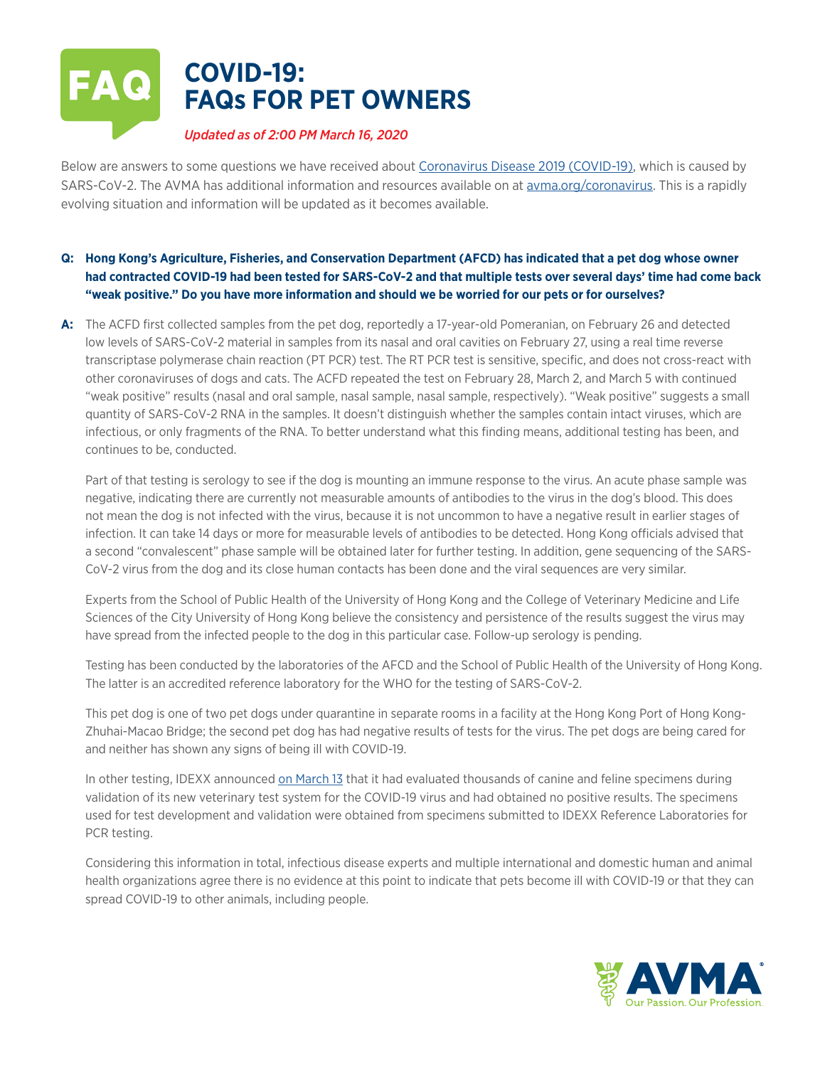

Below are answers to some questions we have received about [Coronavirus Disease 2019 \(COVID-19\),](https://www.cdc.gov/coronavirus/2019-ncov/cases-updates/summary.html?CDC_AA_refVal=https%3A%2F%2Fwww.cdc.gov%2Fcoronavirus%2F2019-ncov%2Fsummary.html) which is caused by SARS-CoV-2. The AVMA has additional information and resources available on at [avma.org/coronavirus.](https://www.avma.org/resources-tools/animal-health-and-welfare/covid-19) This is a rapidly evolving situation and information will be updated as it becomes available.

- **Q: Hong Kong's Agriculture, Fisheries, and Conservation Department (AFCD) has indicated that a pet dog whose owner had contracted COVID-19 had been tested for SARS-CoV-2 and that multiple tests over several days' time had come back "weak positive." Do you have more information and should we be worried for our pets or for ourselves?**
- **A:** The ACFD first collected samples from the pet dog, reportedly a 17-year-old Pomeranian, on February 26 and detected low levels of SARS-CoV-2 material in samples from its nasal and oral cavities on February 27, using a real time reverse transcriptase polymerase chain reaction (PT PCR) test. The RT PCR test is sensitive, specific, and does not cross-react with other coronaviruses of dogs and cats. The ACFD repeated the test on February 28, March 2, and March 5 with continued "weak positive" results (nasal and oral sample, nasal sample, nasal sample, respectively). "Weak positive" suggests a small quantity of SARS-CoV-2 RNA in the samples. It doesn't distinguish whether the samples contain intact viruses, which are infectious, or only fragments of the RNA. To better understand what this finding means, additional testing has been, and continues to be, conducted.

Part of that testing is serology to see if the dog is mounting an immune response to the virus. An acute phase sample was negative, indicating there are currently not measurable amounts of antibodies to the virus in the dog's blood. This does not mean the dog is not infected with the virus, because it is not uncommon to have a negative result in earlier stages of infection. It can take 14 days or more for measurable levels of antibodies to be detected. Hong Kong officials advised that a second "convalescent" phase sample will be obtained later for further testing. In addition, gene sequencing of the SARS-CoV-2 virus from the dog and its close human contacts has been done and the viral sequences are very similar.

Experts from the School of Public Health of the University of Hong Kong and the College of Veterinary Medicine and Life Sciences of the City University of Hong Kong believe the consistency and persistence of the results suggest the virus may have spread from the infected people to the dog in this particular case. Follow-up serology is pending.

Testing has been conducted by the laboratories of the AFCD and the School of Public Health of the University of Hong Kong. The latter is an accredited reference laboratory for the WHO for the testing of SARS-CoV-2.

This pet dog is one of two pet dogs under quarantine in separate rooms in a facility at the Hong Kong Port of Hong Kong-Zhuhai-Macao Bridge; the second pet dog has had negative results of tests for the virus. The pet dogs are being cared for and neither has shown any signs of being ill with COVID-19.

In other testing, IDEXX announced [on March 13](https://www.idexx.com/en/about-idexx/news/no-covid-19-cases-pets/) that it had evaluated thousands of canine and feline specimens during validation of its new veterinary test system for the COVID-19 virus and had obtained no positive results. The specimens used for test development and validation were obtained from specimens submitted to IDEXX Reference Laboratories for PCR testing.

Considering this information in total, infectious disease experts and multiple international and domestic human and animal health organizations agree there is no evidence at this point to indicate that pets become ill with COVID-19 or that they can spread COVID-19 to other animals, including people.

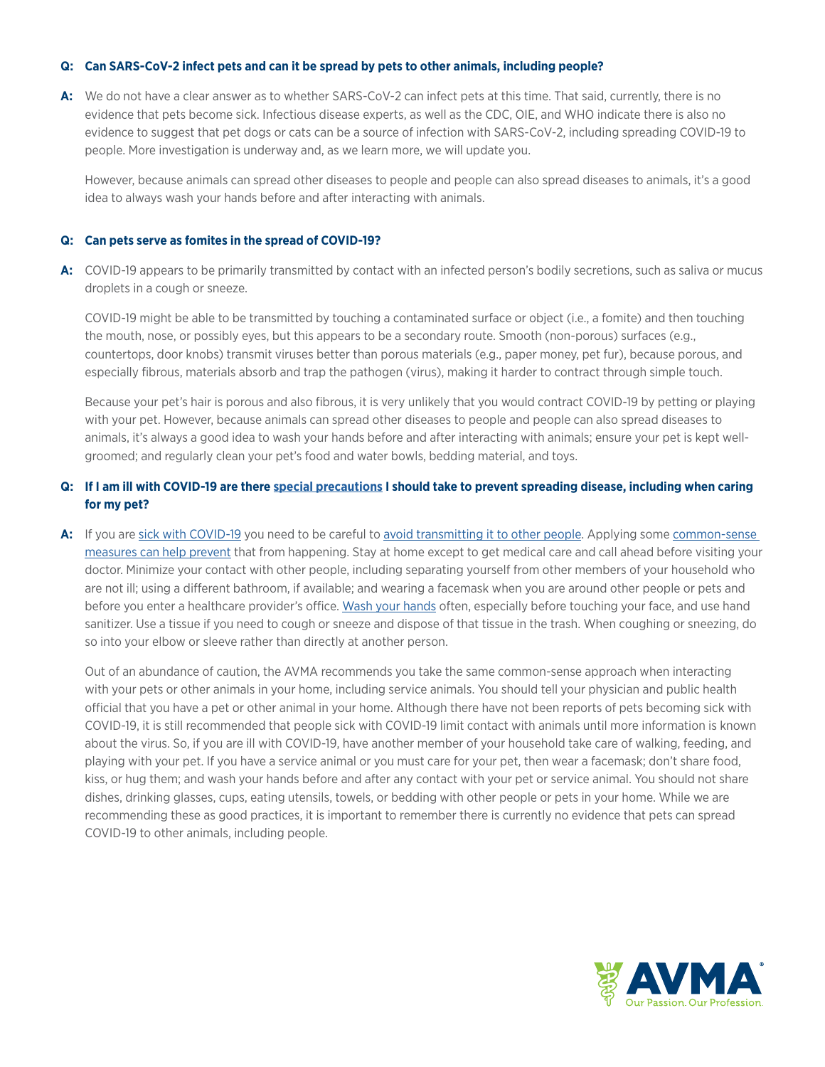## **Q: Can SARS-CoV-2 infect pets and can it be spread by pets to other animals, including people?**

**A:** We do not have a clear answer as to whether SARS-CoV-2 can infect pets at this time. That said, currently, there is no evidence that pets become sick. Infectious disease experts, as well as the CDC, OIE, and WHO indicate there is also no evidence to suggest that pet dogs or cats can be a source of infection with SARS-CoV-2, including spreading COVID-19 to people. More investigation is underway and, as we learn more, we will update you.

However, because animals can spread other diseases to people and people can also spread diseases to animals, it's a good idea to always wash your hands before and after interacting with animals.

### **Q: Can pets serve as fomites in the spread of COVID-19?**

**A:** COVID-19 appears to be primarily transmitted by contact with an infected person's bodily secretions, such as saliva or mucus droplets in a cough or sneeze.

COVID-19 might be able to be transmitted by touching a contaminated surface or object (i.e., a fomite) and then touching the mouth, nose, or possibly eyes, but this appears to be a secondary route. Smooth (non-porous) surfaces (e.g., countertops, door knobs) transmit viruses better than porous materials (e.g., paper money, pet fur), because porous, and especially fibrous, materials absorb and trap the pathogen (virus), making it harder to contract through simple touch.

Because your pet's hair is porous and also fibrous, it is very unlikely that you would contract COVID-19 by petting or playing with your pet. However, because animals can spread other diseases to people and people can also spread diseases to animals, it's always a good idea to wash your hands before and after interacting with animals; ensure your pet is kept wellgroomed; and regularly clean your pet's food and water bowls, bedding material, and toys.

# **Q: If I am ill with COVID-19 are there [special precautions](https://www.cdc.gov/coronavirus/2019-ncov/php/interim-guidance-managing-people-in-home-care-and-isolation-who-have-pets.html) I should take to prevent spreading disease, including when caring for my pet?**

A: If you are [sick with COVID-19](https://www.cdc.gov/coronavirus/2019-ncov/symptoms-testing/symptoms.html?CDC_AA_refVal=https%3A%2F%2Fwww.cdc.gov%2Fcoronavirus%2F2019-ncov%2Fabout%2Fsymptoms.html) you need to be careful to [avoid transmitting it to other people.](https://www.cdc.gov/coronavirus/2019-ncov/prepare/transmission.html?CDC_AA_refVal=https%3A%2F%2Fwww.cdc.gov%2Fcoronavirus%2F2019-ncov%2Fabout%2Ftransmission.html) Applying some common-sense [measures can help prevent](https://www.cdc.gov/coronavirus/2019-ncov/if-you-are-sick/steps-when-sick.html?CDC_AA_refVal=https%3A%2F%2Fwww.cdc.gov%2Fcoronavirus%2F2019-ncov%2Fabout%2Fsteps-when-sick.html) that from happening. Stay at home except to get medical care and call ahead before visiting your doctor. Minimize your contact with other people, including separating yourself from other members of your household who are not ill; using a different bathroom, if available; and wearing a facemask when you are around other people or pets and before you enter a healthcare provider's office. [Wash your hands](https://www.cdc.gov/handwashing/) often, especially before touching your face, and use hand sanitizer. Use a tissue if you need to cough or sneeze and dispose of that tissue in the trash. When coughing or sneezing, do so into your elbow or sleeve rather than directly at another person.

Out of an abundance of caution, the AVMA recommends you take the same common-sense approach when interacting with your pets or other animals in your home, including service animals. You should tell your physician and public health official that you have a pet or other animal in your home. Although there have not been reports of pets becoming sick with COVID-19, it is still recommended that people sick with COVID-19 limit contact with animals until more information is known about the virus. So, if you are ill with COVID-19, have another member of your household take care of walking, feeding, and playing with your pet. If you have a service animal or you must care for your pet, then wear a facemask; don't share food, kiss, or hug them; and wash your hands before and after any contact with your pet or service animal. You should not share dishes, drinking glasses, cups, eating utensils, towels, or bedding with other people or pets in your home. While we are recommending these as good practices, it is important to remember there is currently no evidence that pets can spread COVID-19 to other animals, including people.

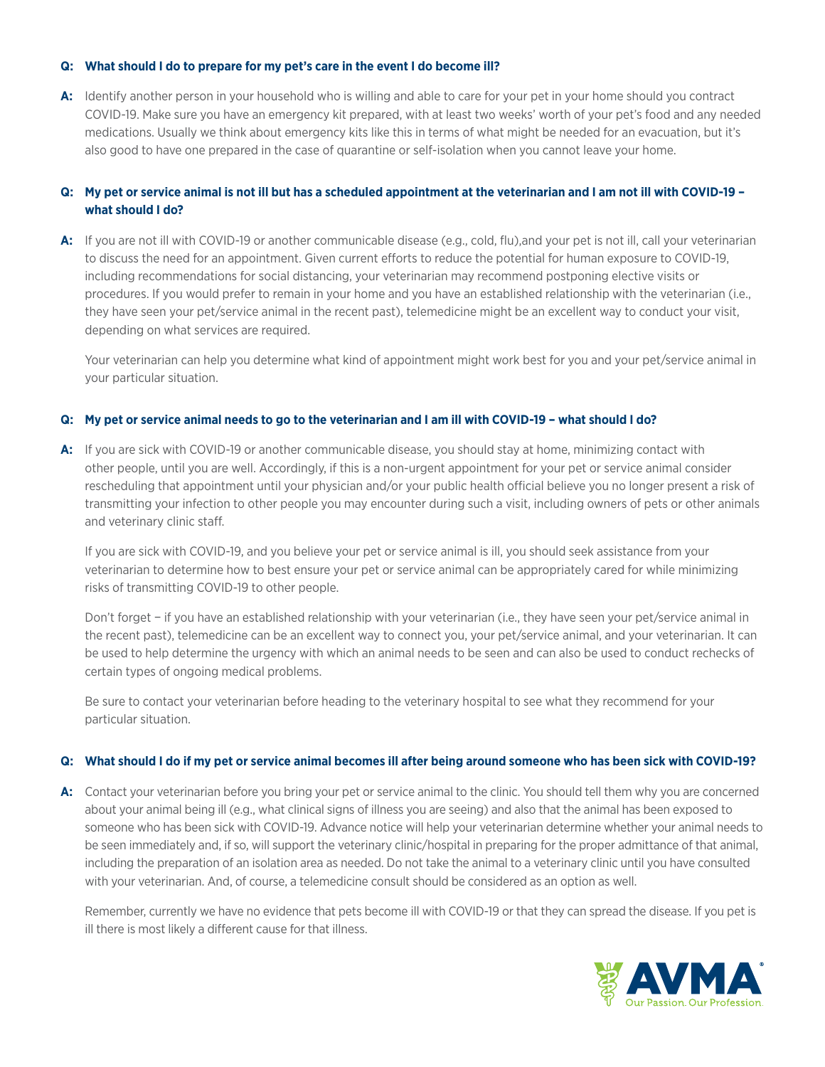### **Q: What should I do to prepare for my pet's care in the event I do become ill?**

A: Identify another person in your household who is willing and able to care for your pet in your home should you contract COVID-19. Make sure you have an emergency kit prepared, with at least two weeks' worth of your pet's food and any needed medications. Usually we think about emergency kits like this in terms of what might be needed for an evacuation, but it's also good to have one prepared in the case of quarantine or self-isolation when you cannot leave your home.

# **Q: My pet or service animal is not ill but has a scheduled appointment at the veterinarian and I am not ill with COVID-19 – what should I do?**

**A:** If you are not ill with COVID-19 or another communicable disease (e.g., cold, flu),and your pet is not ill, call your veterinarian to discuss the need for an appointment. Given current efforts to reduce the potential for human exposure to COVID-19, including recommendations for social distancing, your veterinarian may recommend postponing elective visits or procedures. If you would prefer to remain in your home and you have an established relationship with the veterinarian (i.e., they have seen your pet/service animal in the recent past), telemedicine might be an excellent way to conduct your visit, depending on what services are required.

Your veterinarian can help you determine what kind of appointment might work best for you and your pet/service animal in your particular situation.

## **Q: My pet or service animal needs to go to the veterinarian and I am ill with COVID-19 – what should I do?**

**A:** If you are sick with COVID-19 or another communicable disease, you should stay at home, minimizing contact with other people, until you are well. Accordingly, if this is a non-urgent appointment for your pet or service animal consider rescheduling that appointment until your physician and/or your public health official believe you no longer present a risk of transmitting your infection to other people you may encounter during such a visit, including owners of pets or other animals and veterinary clinic staff.

If you are sick with COVID-19, and you believe your pet or service animal is ill, you should seek assistance from your veterinarian to determine how to best ensure your pet or service animal can be appropriately cared for while minimizing risks of transmitting COVID-19 to other people.

Don't forget − if you have an established relationship with your veterinarian (i.e., they have seen your pet/service animal in the recent past), telemedicine can be an excellent way to connect you, your pet/service animal, and your veterinarian. It can be used to help determine the urgency with which an animal needs to be seen and can also be used to conduct rechecks of certain types of ongoing medical problems.

Be sure to contact your veterinarian before heading to the veterinary hospital to see what they recommend for your particular situation.

#### **Q: What should I do if my pet or service animal becomes ill after being around someone who has been sick with COVID-19?**

A: Contact your veterinarian before you bring your pet or service animal to the clinic. You should tell them why you are concerned about your animal being ill (e.g., what clinical signs of illness you are seeing) and also that the animal has been exposed to someone who has been sick with COVID-19. Advance notice will help your veterinarian determine whether your animal needs to be seen immediately and, if so, will support the veterinary clinic/hospital in preparing for the proper admittance of that animal, including the preparation of an isolation area as needed. Do not take the animal to a veterinary clinic until you have consulted with your veterinarian. And, of course, a telemedicine consult should be considered as an option as well.

Remember, currently we have no evidence that pets become ill with COVID-19 or that they can spread the disease. If you pet is ill there is most likely a different cause for that illness.